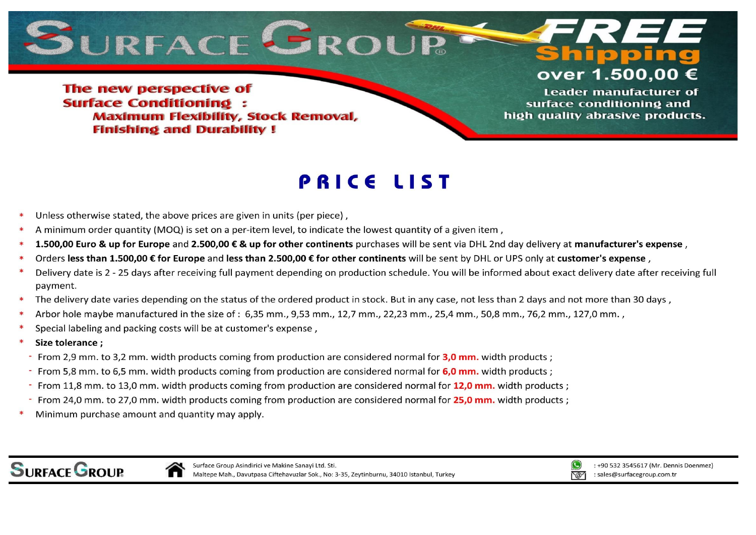

The new perspective of **Surface Conditioning: Maximum Flexibility, Stock Removal, Finishing and Durability!** 

**Leader manufacturer of** surface conditioning and high quality abrasive products.

**Shippin** 

over 1.500,00 €

## **PRICE LIST**

- Unless otherwise stated, the above prices are given in units (per piece),
- A minimum order quantity (MOQ) is set on a per-item level, to indicate the lowest quantity of a given item,
- 1.500.00 Euro & up for Europe and 2.500.00 € & up for other continents purchases will be sent via DHL 2nd day delivery at manufacturer's expense.
- Orders less than 1.500,00 € for Europe and less than 2.500,00 € for other continents will be sent by DHL or UPS only at customer's expense,
- Delivery date is 2 25 days after receiving full payment depending on production schedule. You will be informed about exact delivery date after receiving full payment.
- The delivery date varies depending on the status of the ordered product in stock. But in any case, not less than 2 days and not more than 30 days,
- Arbor hole maybe manufactured in the size of: 6,35 mm., 9,53 mm., 12,7 mm., 22,23 mm., 25,4 mm., 50,8 mm., 76,2 mm., 127,0 mm.,
- Special labeling and packing costs will be at customer's expense,
- Size tolerance;
- From 2.9 mm, to 3.2 mm, width products coming from production are considered normal for 3.0 mm, width products :
- From 5,8 mm. to 6,5 mm. width products coming from production are considered normal for 6,0 mm. width products;
- From 11,8 mm. to 13,0 mm. width products coming from production are considered normal for 12,0 mm. width products;
- From 24.0 mm, to 27.0 mm, width products coming from production are considered normal for 25.0 mm, width products;
- Minimum purchase amount and quantity may apply.

**SURFACE GROUP**